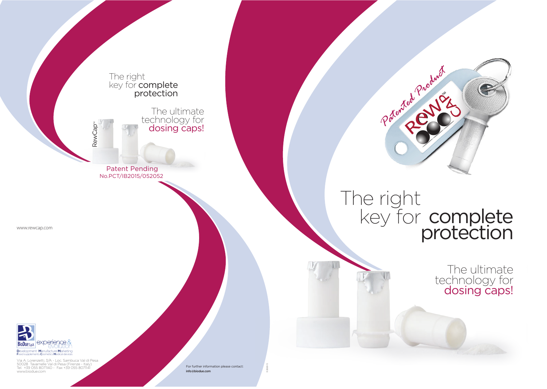# protection

technology for dosing caps!

info@biodue.com



www.biodue.com